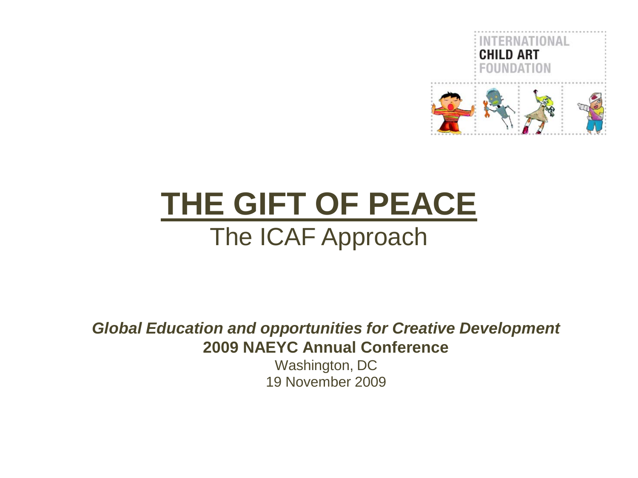

# **THE GIFT OF PEACE** The ICAF Approach

*Global Education and opportunities for Creative Development* **2009 NAEYC Annual Conference**

> Washington, DC 19 November 2009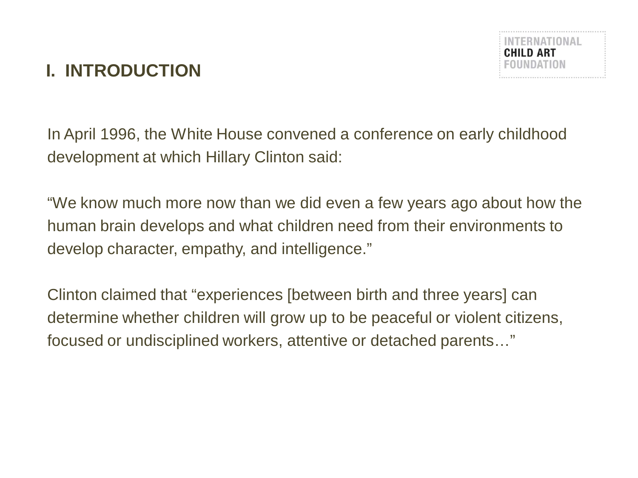# **I. INTRODUCTION**



In April 1996, the White House convened a conference on early childhood development at which Hillary Clinton said:

"We know much more now than we did even a few years ago about how the human brain develops and what children need from their environments to develop character, empathy, and intelligence."

Clinton claimed that "experiences [between birth and three years] can determine whether children will grow up to be peaceful or violent citizens, focused or undisciplined workers, attentive or detached parents…"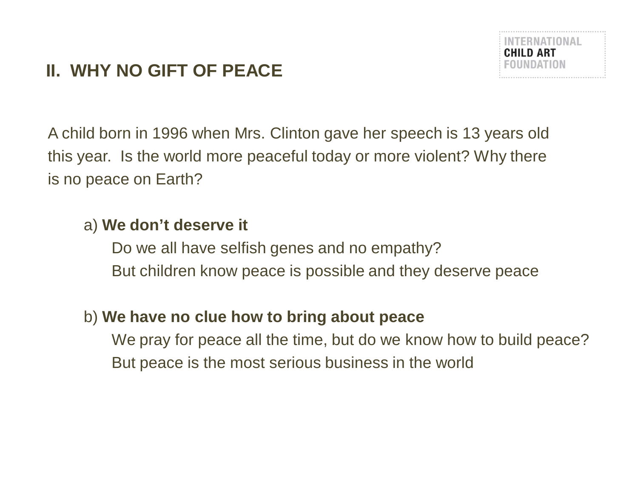# **II. WHY NO GIFT OF PEACE**



A child born in 1996 when Mrs. Clinton gave her speech is 13 years old this year. Is the world more peaceful today or more violent? Why there is no peace on Earth?

#### a) **We don't deserve it**

Do we all have selfish genes and no empathy? But children know peace is possible and they deserve peace

#### b) **We have no clue how to bring about peace**

We pray for peace all the time, but do we know how to build peace? But peace is the most serious business in the world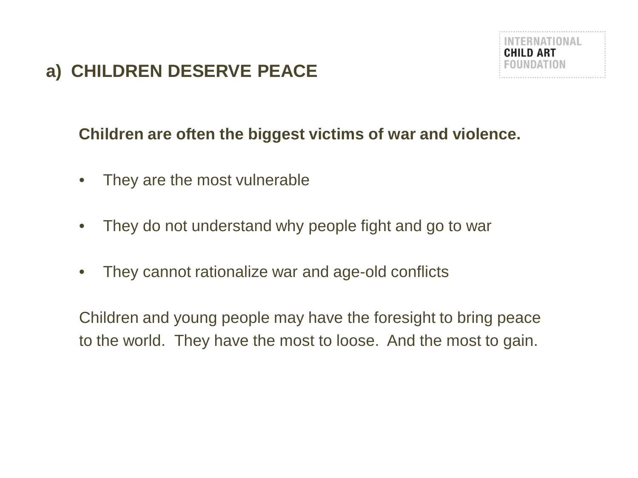# **a) CHILDREN DESERVE PEACE**



#### **Children are often the biggest victims of war and violence.**

- They are the most vulnerable
- They do not understand why people fight and go to war
- They cannot rationalize war and age-old conflicts

Children and young people may have the foresight to bring peace to the world. They have the most to loose. And the most to gain.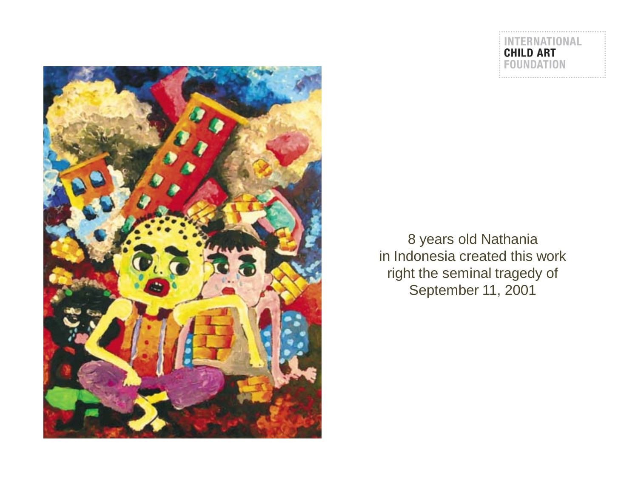

8 years old Nathania in Indonesia created this work right the seminal tragedy of September 11, 2001

ERNATIONAL

**CHILD ART FOUNDATION**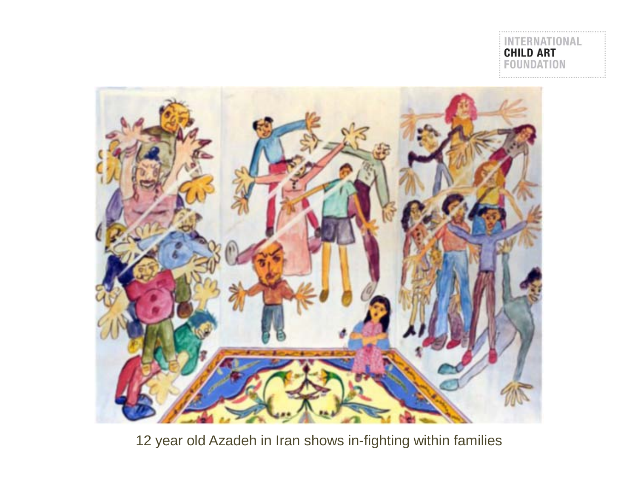**NATIONAL CHILD ART**<br>FOUNDATION

\*\*\*\*\*\*\*\*\*\*\*\*\*\*\*\*\*\*\*\*\*\*\*\*\*\*\*\*\*\*\*\*\*\*



12 year old Azadeh in Iran shows in-fighting within families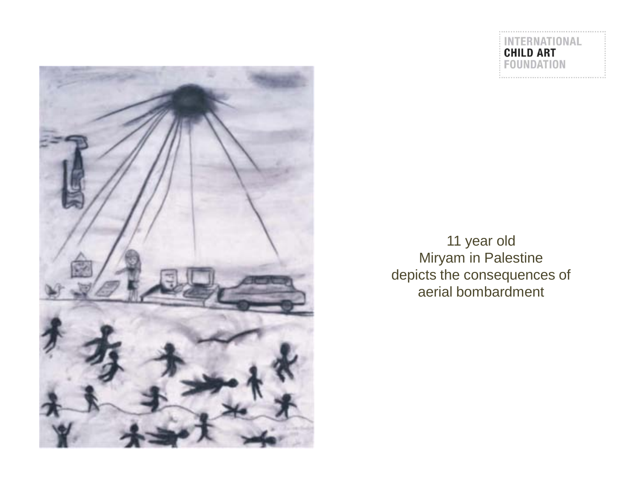

INTERNATIONAL<br>CHILD ART<br>FOUNDATION

11 year old Miryam in Palestine depicts the consequences of aerial bombardment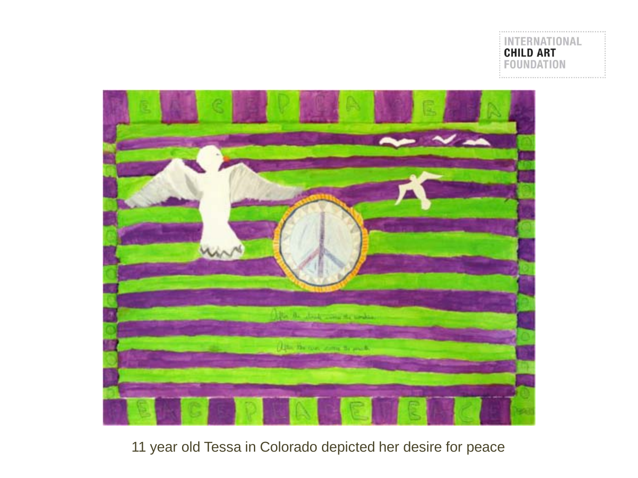



#### 11 year old Tessa in Colorado depicted her desire for peace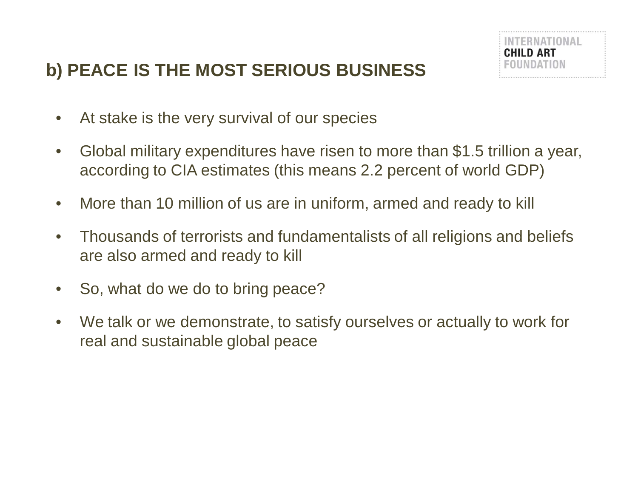# **b) PEACE IS THE MOST SERIOUS BUSINESS**



- At stake is the very survival of our species
- Global military expenditures have risen to more than \$1.5 trillion a year, according to CIA estimates (this means 2.2 percent of world GDP)
- More than 10 million of us are in uniform, armed and ready to kill
- Thousands of terrorists and fundamentalists of all religions and beliefs are also armed and ready to kill
- So, what do we do to bring peace?
- We talk or we demonstrate, to satisfy ourselves or actually to work for real and sustainable global peace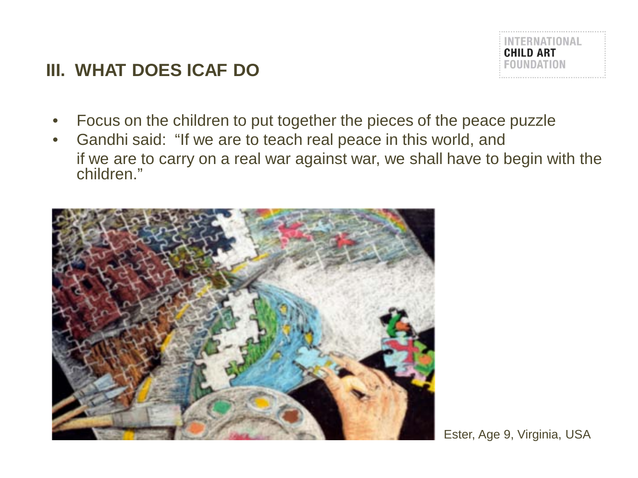### **III. WHAT DOES ICAF DO**



- Focus on the children to put together the pieces of the peace puzzle
- Gandhi said: "If we are to teach real peace in this world, and if we are to carry on a real war against war, we shall have to begin with the children."



Ester, Age 9, Virginia, USA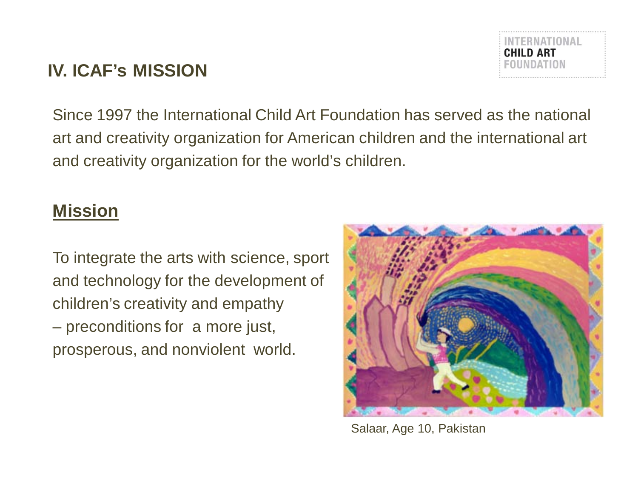## **IV. ICAF's MISSION**

Since 1997 the International Child Art Foundation has served as the national art and creativity organization for American children and the international art and creativity organization for the world's children.

#### **Mission**

To integrate the arts with science, sport and technology for the development of children's creativity and empathy – preconditions for a more just, prosperous, and nonviolent world.

Salaar, Age 10, Pakistan



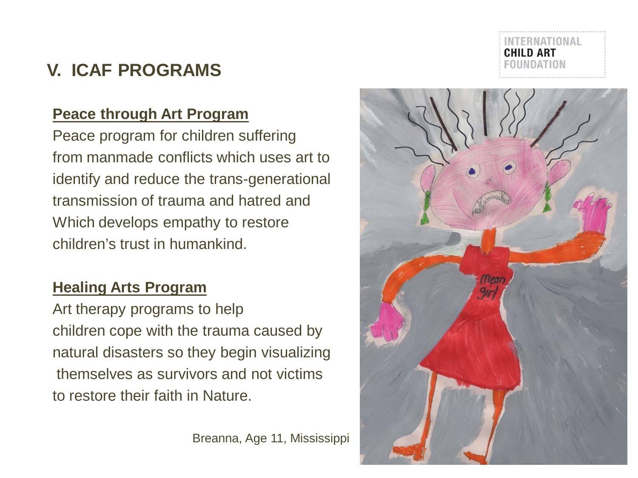# **V. ICAF PROGRAMS**

#### **Peace through Art Program**

Peace program for children suffering from manmade conflicts which uses art to identify and reduce the trans-generational transmission of trauma and hatred and Which develops empathy to restore children's trust in humankind.

#### **Healing Arts Program**

Art therapy programs to help children cope with the trauma caused by natural disasters so they begin visualizing themselves as survivors and not victims to restore their faith in Nature.

Breanna, Age 11, Mississippi

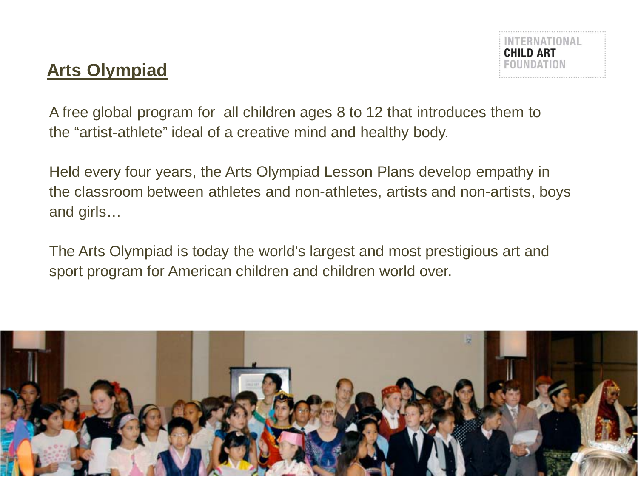### **Arts Olympiad**

A free global program for all children ages 8 to 12 that introduces them to the "artist-athlete" ideal of a creative mind and healthy body.

Held every four years, the Arts Olympiad Lesson Plans develop empathy in the classroom between athletes and non-athletes, artists and non-artists, boys and girls…

The Arts Olympiad is today the world's largest and most prestigious art and sport program for American children and children world over.

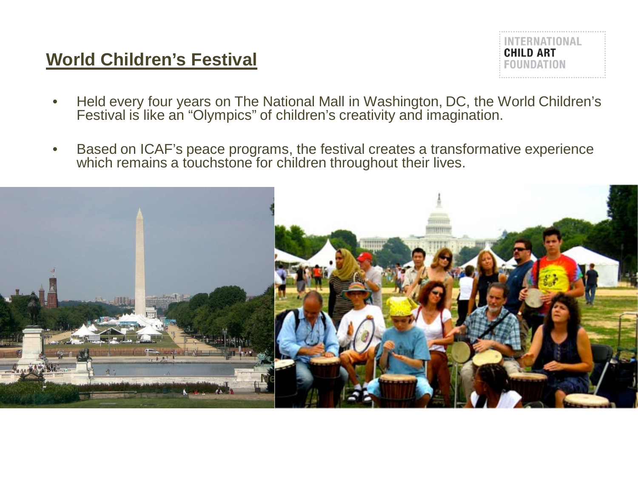#### **World Children's Festival**



- Held every four years on The National Mall in Washington, DC, the World Children's Festival is like an "Olympics" of children's creativity and imagination.
- Based on ICAF's peace programs, the festival creates a transformative experience which remains a touchstone for children throughout their lives.

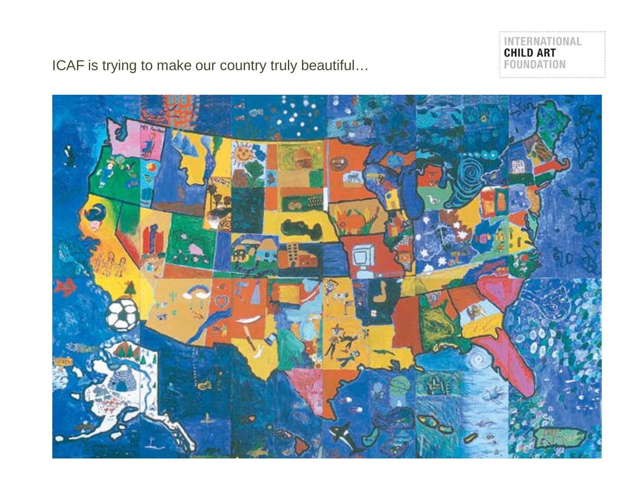

ICAF is trying to make our country truly beautiful…